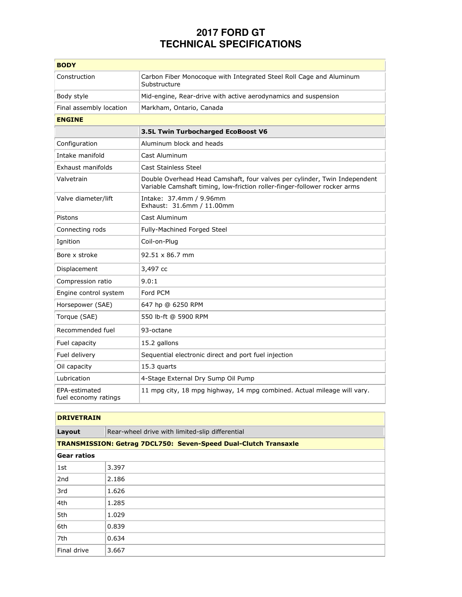## **2017 FORD GT TECHNICAL SPECIFICATIONS**

| <b>BODY</b>                           |                                                                                                                                                        |  |
|---------------------------------------|--------------------------------------------------------------------------------------------------------------------------------------------------------|--|
| Construction                          | Carbon Fiber Monocoque with Integrated Steel Roll Cage and Aluminum<br>Substructure                                                                    |  |
| Body style                            | Mid-engine, Rear-drive with active aerodynamics and suspension                                                                                         |  |
| Final assembly location               | Markham, Ontario, Canada                                                                                                                               |  |
| <b>ENGINE</b>                         |                                                                                                                                                        |  |
|                                       | 3.5L Twin Turbocharged EcoBoost V6                                                                                                                     |  |
| Configuration                         | Aluminum block and heads                                                                                                                               |  |
| Intake manifold                       | Cast Aluminum                                                                                                                                          |  |
| Exhaust manifolds                     | <b>Cast Stainless Steel</b>                                                                                                                            |  |
| Valvetrain                            | Double Overhead Head Camshaft, four valves per cylinder, Twin Independent<br>Variable Camshaft timing, low-friction roller-finger-follower rocker arms |  |
| Valve diameter/lift                   | Intake: 37.4mm / 9.96mm<br>Exhaust: 31.6mm / 11.00mm                                                                                                   |  |
| Pistons                               | Cast Aluminum                                                                                                                                          |  |
| Connecting rods                       | Fully-Machined Forged Steel                                                                                                                            |  |
| Ignition                              | Coil-on-Plug                                                                                                                                           |  |
| Bore x stroke                         | 92.51 x 86.7 mm                                                                                                                                        |  |
| Displacement                          | 3,497 cc                                                                                                                                               |  |
| Compression ratio                     | 9.0:1                                                                                                                                                  |  |
| Engine control system                 | Ford PCM                                                                                                                                               |  |
| Horsepower (SAE)                      | 647 hp @ 6250 RPM                                                                                                                                      |  |
| Torque (SAE)                          | 550 lb-ft @ 5900 RPM                                                                                                                                   |  |
| Recommended fuel                      | 93-octane                                                                                                                                              |  |
| Fuel capacity                         | 15.2 gallons                                                                                                                                           |  |
| Fuel delivery                         | Sequential electronic direct and port fuel injection                                                                                                   |  |
| Oil capacity                          | 15.3 quarts                                                                                                                                            |  |
| Lubrication                           | 4-Stage External Dry Sump Oil Pump                                                                                                                     |  |
| EPA-estimated<br>fuel economy ratings | 11 mpg city, 18 mpg highway, 14 mpg combined. Actual mileage will vary.                                                                                |  |

| <b>DRIVETRAIN</b>                                                      |                                                 |  |  |
|------------------------------------------------------------------------|-------------------------------------------------|--|--|
| Layout                                                                 | Rear-wheel drive with limited-slip differential |  |  |
| <b>TRANSMISSION: Getrag 7DCL750: Seven-Speed Dual-Clutch Transaxle</b> |                                                 |  |  |
| <b>Gear ratios</b>                                                     |                                                 |  |  |
| 1st                                                                    | 3.397                                           |  |  |
| 2nd                                                                    | 2.186                                           |  |  |
| 3rd                                                                    | 1.626                                           |  |  |
| 4th                                                                    | 1.285                                           |  |  |
| 5th                                                                    | 1.029                                           |  |  |
| 6th                                                                    | 0.839                                           |  |  |
| 7th                                                                    | 0.634                                           |  |  |
| Final drive                                                            | 3.667                                           |  |  |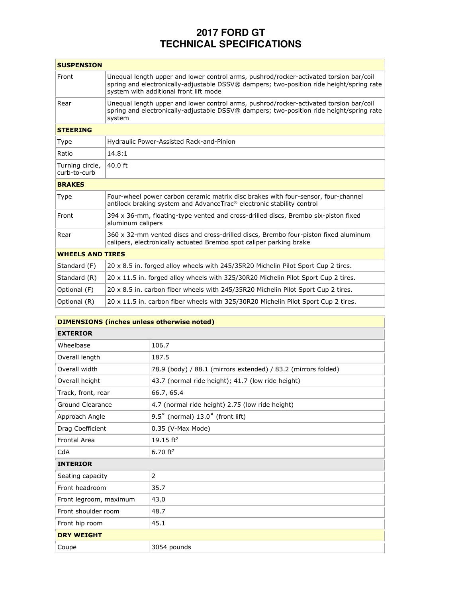## **2017 FORD GT TECHNICAL SPECIFICATIONS**

| <b>SUSPENSION</b>               |                                                                                                                                                                                                                              |  |
|---------------------------------|------------------------------------------------------------------------------------------------------------------------------------------------------------------------------------------------------------------------------|--|
| Front                           | Unequal length upper and lower control arms, pushrod/rocker-activated torsion bar/coil<br>spring and electronically-adjustable DSSV® dampers; two-position ride height/spring rate<br>system with additional front lift mode |  |
| Rear                            | Unequal length upper and lower control arms, pushrod/rocker-activated torsion bar/coil<br>spring and electronically-adjustable DSSV® dampers; two-position ride height/spring rate<br>system                                 |  |
| <b>STEERING</b>                 |                                                                                                                                                                                                                              |  |
| <b>Type</b>                     | Hydraulic Power-Assisted Rack-and-Pinion                                                                                                                                                                                     |  |
| Ratio                           | 14.8:1                                                                                                                                                                                                                       |  |
| Turning circle,<br>curb-to-curb | $40.0$ ft                                                                                                                                                                                                                    |  |
| <b>BRAKES</b>                   |                                                                                                                                                                                                                              |  |
| Type                            | Four-wheel power carbon ceramic matrix disc brakes with four-sensor, four-channel<br>antilock braking system and AdvanceTrac® electronic stability control                                                                   |  |
| Front                           | 394 x 36-mm, floating-type vented and cross-drilled discs, Brembo six-piston fixed<br>aluminum calipers                                                                                                                      |  |
| Rear                            | 360 x 32-mm vented discs and cross-drilled discs, Brembo four-piston fixed aluminum<br>calipers, electronically actuated Brembo spot caliper parking brake                                                                   |  |
| <b>WHEELS AND TIRES</b>         |                                                                                                                                                                                                                              |  |
| Standard (F)                    | 20 x 8.5 in. forged alloy wheels with 245/35R20 Michelin Pilot Sport Cup 2 tires.                                                                                                                                            |  |
| Standard (R)                    | 20 x 11.5 in. forged alloy wheels with 325/30R20 Michelin Pilot Sport Cup 2 tires.                                                                                                                                           |  |
| Optional (F)                    | 20 x 8.5 in. carbon fiber wheels with 245/35R20 Michelin Pilot Sport Cup 2 tires.                                                                                                                                            |  |
| Optional (R)                    | 20 x 11.5 in. carbon fiber wheels with 325/30R20 Michelin Pilot Sport Cup 2 tires.                                                                                                                                           |  |

| <b>DIMENSIONS (inches unless otherwise noted)</b> |                                                               |  |
|---------------------------------------------------|---------------------------------------------------------------|--|
| <b>EXTERIOR</b>                                   |                                                               |  |
| Wheelbase                                         | 106.7                                                         |  |
| Overall length                                    | 187.5                                                         |  |
| Overall width                                     | 78.9 (body) / 88.1 (mirrors extended) / 83.2 (mirrors folded) |  |
| Overall height                                    | 43.7 (normal ride height); 41.7 (low ride height)             |  |
| Track, front, rear                                | 66.7, 65.4                                                    |  |
| <b>Ground Clearance</b>                           | 4.7 (normal ride height) 2.75 (low ride height)               |  |
| Approach Angle                                    | $9.5^{\circ}$ (normal) $13.0^{\circ}$ (front lift)            |  |
| Drag Coefficient                                  | 0.35 (V-Max Mode)                                             |  |
| <b>Frontal Area</b>                               | 19.15 $ft^2$                                                  |  |
| CdA                                               | $6.70$ ft <sup>2</sup>                                        |  |
| <b>INTERIOR</b>                                   |                                                               |  |
| Seating capacity                                  | 2                                                             |  |
| Front headroom                                    | 35.7                                                          |  |
| Front legroom, maximum                            | 43.0                                                          |  |
| Front shoulder room                               | 48.7                                                          |  |
| Front hip room                                    | 45.1                                                          |  |
| <b>DRY WEIGHT</b>                                 |                                                               |  |
| Coupe                                             | 3054 pounds                                                   |  |